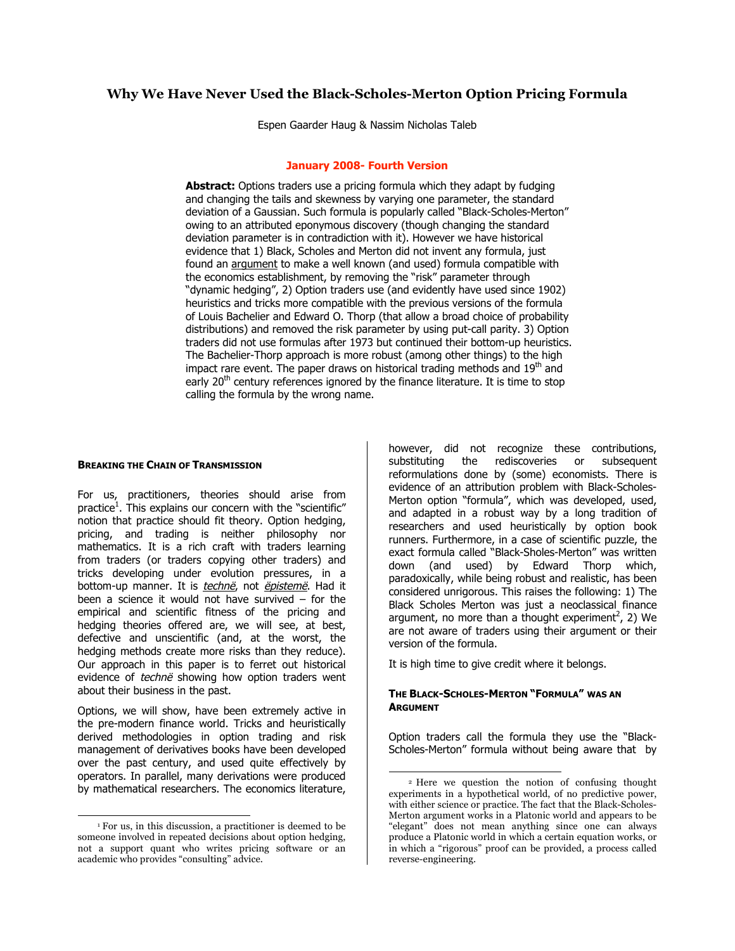# **Why We Have Never Used the Black-Scholes-Merton Option Pricing Formula**

Espen Gaarder Haug & Nassim Nicholas Taleb

### **January 2008- Fourth Version**

Abstract: Options traders use a pricing formula which they adapt by fudging and changing the tails and skewness by varying one parameter, the standard deviation of a Gaussian. Such formula is popularly called "Black-Scholes-Merton" owing to an attributed eponymous discovery (though changing the standard deviation parameter is in contradiction with it). However we have historical evidence that 1) Black, Scholes and Merton did not invent any formula, just found an argument to make a well known (and used) formula compatible with the economics establishment, by removing the "risk" parameter through "dynamic hedging", 2) Option traders use (and evidently have used since 1902) heuristics and tricks more compatible with the previous versions of the formula of Louis Bachelier and Edward O. Thorp (that allow a broad choice of probability distributions) and removed the risk parameter by using put-call parity. 3) Option traders did not use formulas after 1973 but continued their bottom-up heuristics. The Bachelier-Thorp approach is more robust (among other things) to the high impact rare event. The paper draws on historical trading methods and  $19<sup>th</sup>$  and early  $20<sup>th</sup>$  century references ignored by the finance literature. It is time to stop calling the formula by the wrong name.

-

#### **BREAKING THE CHAIN OF TRANSMISSION**

For us, practitioners, theories should arise from practice<sup>1</sup>. This explains our concern with the "scientific" notion that practice should fit theory. Option hedging, pricing, and trading is neither philosophy nor mathematics. It is a rich craft with traders learning from traders (or traders copying other traders) and tricks developing under evolution pressures, in a bottom-up manner. It is technë, not ëpistemë. Had it been a science it would not have survived  $-$  for the empirical and scientific fitness of the pricing and hedging theories offered are, we will see, at best, defective and unscientific (and, at the worst, the hedging methods create more risks than they reduce). Our approach in this paper is to ferret out historical evidence of *technë* showing how option traders went about their business in the past.

Options, we will show, have been extremely active in the pre-modern finance world. Tricks and heuristically derived methodologies in option trading and risk management of derivatives books have been developed over the past century, and used quite effectively by operators. In parallel, many derivations were produced by mathematical researchers. The economics literature,

ł

however, did not recognize these contributions, substituting the rediscoveries or subsequent reformulations done by (some) economists. There is evidence of an attribution problem with Black-Scholes-Merton option "formula", which was developed, used, and adapted in a robust way by a long tradition of researchers and used heuristically by option book runners. Furthermore, in a case of scientific puzzle, the exact formula called "Black-Sholes-Merton" was written down (and used) by Edward Thorp which, paradoxically, while being robust and realistic, has been considered unrigorous. This raises the following: 1) The Black Scholes Merton was just a neoclassical finance argument, no more than a thought experiment<sup>2</sup>, 2) We are not aware of traders using their argument or their version of the formula.

It is high time to give credit where it belongs.

#### **THE BLACK-SCHOLES-MERTON "FORMULA" WAS AN ARGUMENT**

Option traders call the formula they use the "Black-Scholes-Merton" formula without being aware that by

<sup>1</sup> For us, in this discussion, a practitioner is deemed to be someone involved in repeated decisions about option hedging, not a support quant who writes pricing software or an academic who provides "consulting" advice.

<sup>2</sup> Here we question the notion of confusing thought experiments in a hypothetical world, of no predictive power, with either science or practice. The fact that the Black-Scholes-Merton argument works in a Platonic world and appears to be "elegant" does not mean anything since one can always produce a Platonic world in which a certain equation works, or in which a "rigorous" proof can be provided, a process called reverse-engineering.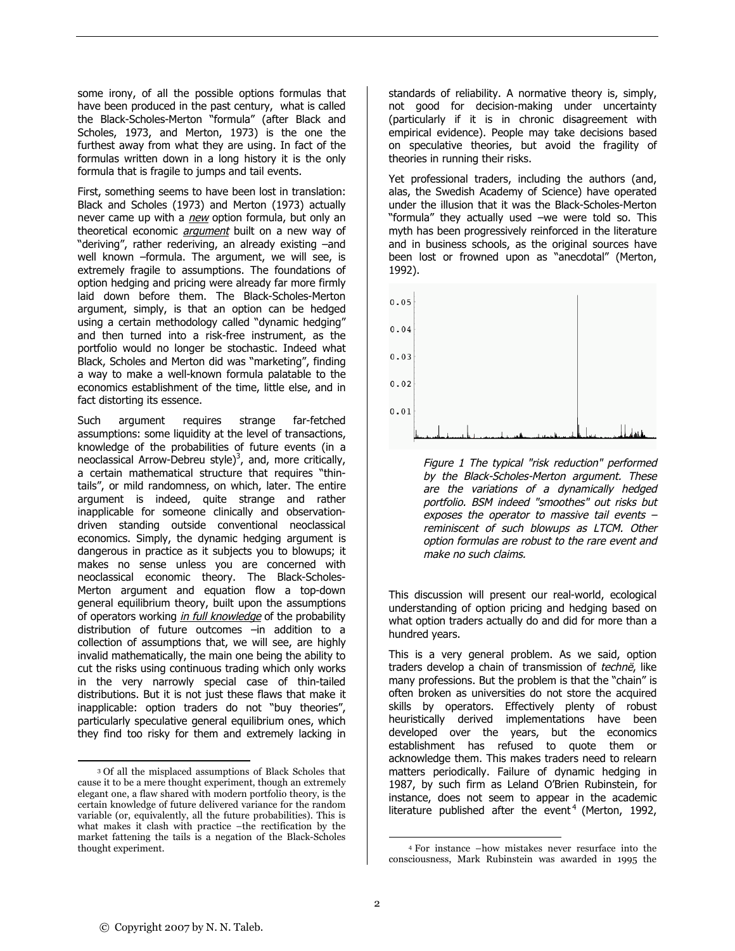some irony, of all the possible options formulas that have been produced in the past century, what is called the Black-Scholes-Merton "formula" (after Black and Scholes, 1973, and Merton, 1973) is the one the furthest away from what they are using. In fact of the formulas written down in a long history it is the only formula that is fragile to jumps and tail events.

First, something seems to have been lost in translation: Black and Scholes (1973) and Merton (1973) actually never came up with a new option formula, but only an theoretical economic *argument* built on a new way of "deriving", rather rederiving, an already existing –and well known –formula. The argument, we will see, is extremely fragile to assumptions. The foundations of option hedging and pricing were already far more firmly laid down before them. The Black-Scholes-Merton argument, simply, is that an option can be hedged using a certain methodology called "dynamic hedging" and then turned into a risk-free instrument, as the portfolio would no longer be stochastic. Indeed what Black, Scholes and Merton did was "marketing", finding a way to make a well-known formula palatable to the economics establishment of the time, little else, and in fact distorting its essence.

Such argument requires strange far-fetched assumptions: some liquidity at the level of transactions, knowledge of the probabilities of future events (in a neoclassical Arrow-Debreu style)<sup>3</sup>, and, more critically, a certain mathematical structure that requires "thintails", or mild randomness, on which, later. The entire argument is indeed, quite strange and rather inapplicable for someone clinically and observationdriven standing outside conventional neoclassical economics. Simply, the dynamic hedging argument is dangerous in practice as it subjects you to blowups; it makes no sense unless you are concerned with neoclassical economic theory. The Black-Scholes-Merton argument and equation flow a top-down general equilibrium theory, built upon the assumptions of operators working in full knowledge of the probability distribution of future outcomes –in addition to a collection of assumptions that, we will see, are highly invalid mathematically, the main one being the ability to cut the risks using continuous trading which only works in the very narrowly special case of thin-tailed distributions. But it is not just these flaws that make it inapplicable: option traders do not "buy theories", particularly speculative general equilibrium ones, which they find too risky for them and extremely lacking in

standards of reliability. A normative theory is, simply, not good for decision-making under uncertainty (particularly if it is in chronic disagreement with empirical evidence). People may take decisions based on speculative theories, but avoid the fragility of theories in running their risks.

Yet professional traders, including the authors (and, alas, the Swedish Academy of Science) have operated under the illusion that it was the Black-Scholes-Merton "formula" they actually used –we were told so. This myth has been progressively reinforced in the literature and in business schools, as the original sources have been lost or frowned upon as "anecdotal" (Merton, 1992).



Figure 1 The typical "risk reduction" performed by the Black-Scholes-Merton argument. These are the variations of a dynamically hedged portfolio. BSM indeed "smoothes" out risks but exposes the operator to massive tail events – reminiscent of such blowups as LTCM. Other option formulas are robust to the rare event and make no such claims.

This discussion will present our real-world, ecological understanding of option pricing and hedging based on what option traders actually do and did for more than a hundred years.

This is a very general problem. As we said, option traders develop a chain of transmission of technë, like many professions. But the problem is that the "chain" is often broken as universities do not store the acquired skills by operators. Effectively plenty of robust heuristically derived implementations have been developed over the years, but the economics establishment has refused to quote them or acknowledge them. This makes traders need to relearn matters periodically. Failure of dynamic hedging in 1987, by such firm as Leland O'Brien Rubinstein, for instance, does not seem to appear in the academic literature published after the event<sup>4</sup> (Merton, 1992,

ł

<sup>3</sup> Of all the misplaced assumptions of Black Scholes that cause it to be a mere thought experiment, though an extremely elegant one, a flaw shared with modern portfolio theory, is the certain knowledge of future delivered variance for the random variable (or, equivalently, all the future probabilities). This is what makes it clash with practice –the rectification by the market fattening the tails is a negation of the Black-Scholes thought experiment.

<sup>-</sup><sup>4</sup> For instance –how mistakes never resurface into the consciousness, Mark Rubinstein was awarded in 1995 the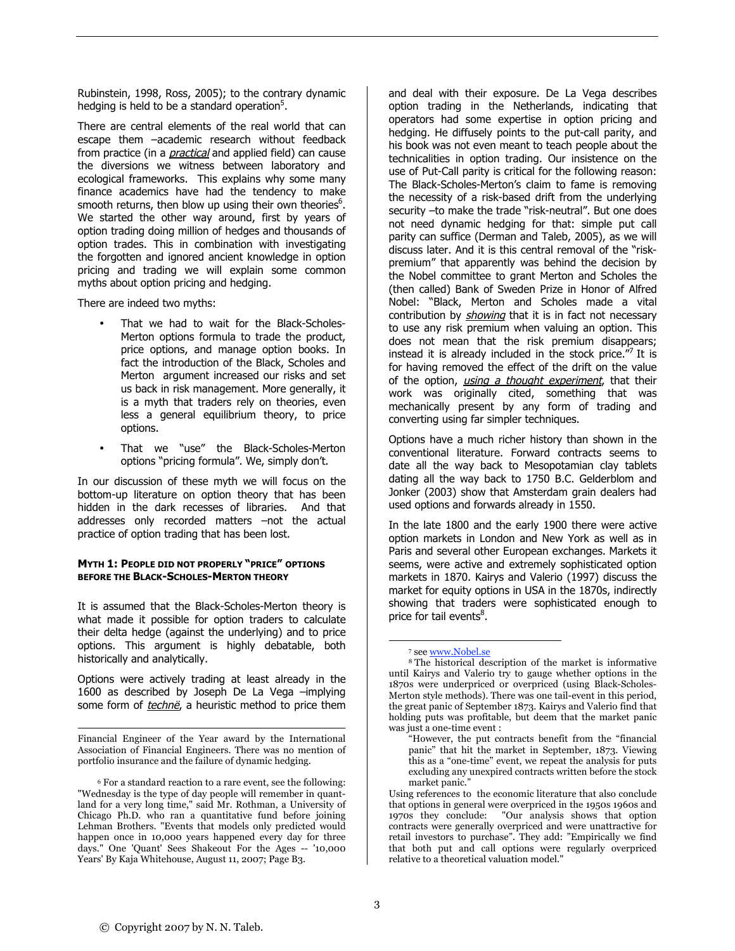Rubinstein, 1998, Ross, 2005); to the contrary dynamic hedging is held to be a standard operation<sup>5</sup>.

There are central elements of the real world that can escape them –academic research without feedback from practice (in a *practical* and applied field) can cause the diversions we witness between laboratory and ecological frameworks. This explains why some many finance academics have had the tendency to make smooth returns, then blow up using their own theories $6$ . We started the other way around, first by years of option trading doing million of hedges and thousands of option trades. This in combination with investigating the forgotten and ignored ancient knowledge in option pricing and trading we will explain some common myths about option pricing and hedging.

There are indeed two myths:

- That we had to wait for the Black-Scholes-Merton options formula to trade the product, price options, and manage option books. In fact the introduction of the Black, Scholes and Merton argument increased our risks and set us back in risk management. More generally, it is a myth that traders rely on theories, even less a general equilibrium theory, to price options.
- That we "use" the Black-Scholes-Merton options "pricing formula". We, simply don't.

In our discussion of these myth we will focus on the bottom-up literature on option theory that has been hidden in the dark recesses of libraries. And that addresses only recorded matters –not the actual practice of option trading that has been lost.

### **MYTH 1: PEOPLE DID NOT PROPERLY "PRICE" OPTIONS BEFORE THE BLACK-SCHOLES-MERTON THEORY**

It is assumed that the Black-Scholes-Merton theory is what made it possible for option traders to calculate their delta hedge (against the underlying) and to price options. This argument is highly debatable, both historically and analytically.

Options were actively trading at least already in the 1600 as described by Joseph De La Vega –implying some form of *technë*, a heuristic method to price them

and deal with their exposure. De La Vega describes option trading in the Netherlands, indicating that operators had some expertise in option pricing and hedging. He diffusely points to the put-call parity, and his book was not even meant to teach people about the technicalities in option trading. Our insistence on the use of Put-Call parity is critical for the following reason: The Black-Scholes-Merton's claim to fame is removing the necessity of a risk-based drift from the underlying security –to make the trade "risk-neutral". But one does not need dynamic hedging for that: simple put call parity can suffice (Derman and Taleb, 2005), as we will discuss later. And it is this central removal of the "riskpremium" that apparently was behind the decision by the Nobel committee to grant Merton and Scholes the (then called) Bank of Sweden Prize in Honor of Alfred Nobel: "Black, Merton and Scholes made a vital contribution by showing that it is in fact not necessary to use any risk premium when valuing an option. This does not mean that the risk premium disappears; instead it is already included in the stock price. $17$  It is for having removed the effect of the drift on the value of the option, *using a thought experiment*, that their work was originally cited, something that was mechanically present by any form of trading and converting using far simpler techniques.

Options have a much richer history than shown in the conventional literature. Forward contracts seems to date all the way back to Mesopotamian clay tablets dating all the way back to 1750 B.C. Gelderblom and Jonker (2003) show that Amsterdam grain dealers had used options and forwards already in 1550.

In the late 1800 and the early 1900 there were active option markets in London and New York as well as in Paris and several other European exchanges. Markets it seems, were active and extremely sophisticated option markets in 1870. Kairys and Valerio (1997) discuss the market for equity options in USA in the 1870s, indirectly showing that traders were sophisticated enough to price for tail events<sup>8</sup>.

-

ł Financial Engineer of the Year award by the International Association of Financial Engineers. There was no mention of portfolio insurance and the failure of dynamic hedging.

<sup>6</sup> For a standard reaction to a rare event, see the following: "Wednesday is the type of day people will remember in quantland for a very long time," said Mr. Rothman, a University of Chicago Ph.D. who ran a quantitative fund before joining Lehman Brothers. "Events that models only predicted would happen once in 10,000 years happened every day for three days." One 'Quant' Sees Shakeout For the Ages -- '10,000 Years' By Kaja Whitehouse, August 11, 2007; Page B3.

<sup>&</sup>lt;sup>7</sup> see <u>www.Nobel.se</u>

<sup>8</sup> The historical description of the market is informative until Kairys and Valerio try to gauge whether options in the 1870s were underpriced or overpriced (using Black-Scholes-Merton style methods). There was one tail-event in this period, the great panic of September 1873. Kairys and Valerio find that holding puts was profitable, but deem that the market panic was just a one-time event :

<sup>&</sup>quot;However, the put contracts benefit from the "financial panic" that hit the market in September, 1873. Viewing this as a "one-time" event, we repeat the analysis for puts excluding any unexpired contracts written before the stock market panic."

Using references to the economic literature that also conclude that options in general were overpriced in the 1950s 1960s and 1970s they conclude: "Our analysis shows that option contracts were generally overpriced and were unattractive for retail investors to purchase". They add: "Empirically we find that both put and call options were regularly overpriced relative to a theoretical valuation model."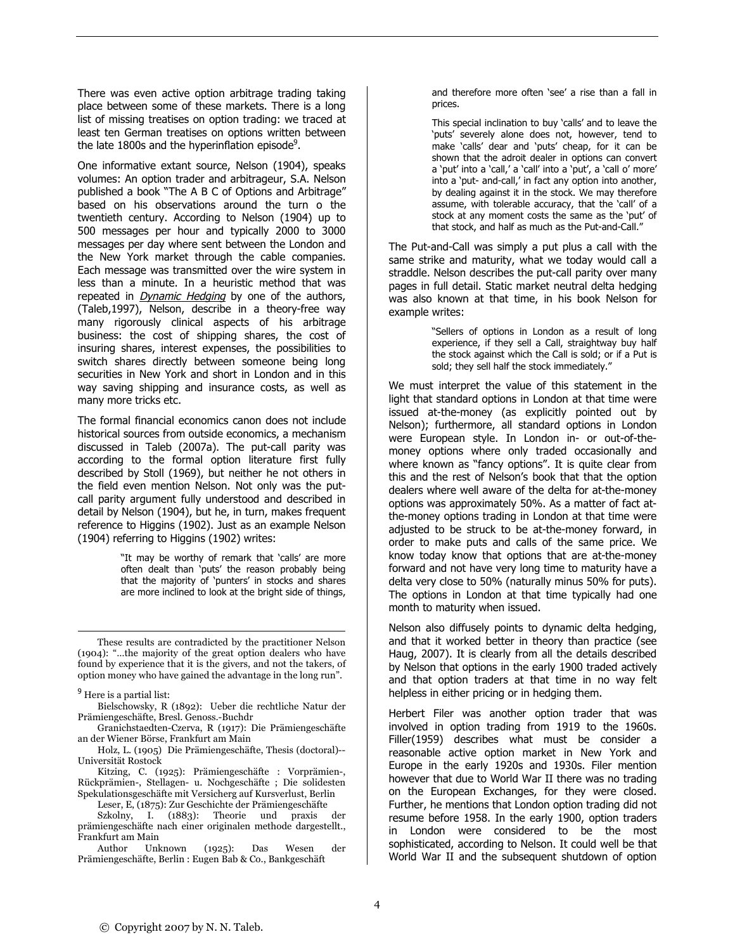There was even active option arbitrage trading taking place between some of these markets. There is a long list of missing treatises on option trading: we traced at least ten German treatises on options written between the late 1800s and the hyperinflation episode $9$ .

One informative extant source, Nelson (1904), speaks volumes: An option trader and arbitrageur, S.A. Nelson published a book "The A B C of Options and Arbitrage" based on his observations around the turn o the twentieth century. According to Nelson (1904) up to 500 messages per hour and typically 2000 to 3000 messages per day where sent between the London and the New York market through the cable companies. Each message was transmitted over the wire system in less than a minute. In a heuristic method that was repeated in *Dynamic Hedging* by one of the authors, (Taleb,1997), Nelson, describe in a theory-free way many rigorously clinical aspects of his arbitrage business: the cost of shipping shares, the cost of insuring shares, interest expenses, the possibilities to switch shares directly between someone being long securities in New York and short in London and in this way saving shipping and insurance costs, as well as many more tricks etc.

The formal financial economics canon does not include historical sources from outside economics, a mechanism discussed in Taleb (2007a). The put-call parity was according to the formal option literature first fully described by Stoll (1969), but neither he not others in the field even mention Nelson. Not only was the putcall parity argument fully understood and described in detail by Nelson (1904), but he, in turn, makes frequent reference to Higgins (1902). Just as an example Nelson (1904) referring to Higgins (1902) writes:

> "It may be worthy of remark that 'calls' are more often dealt than 'puts' the reason probably being that the majority of 'punters' in stocks and shares are more inclined to look at the bright side of things,

These results are contradicted by the practitioner Nelson (1904): "…the majority of the great option dealers who have found by experience that it is the givers, and not the takers, of option money who have gained the advantage in the long run".

<sup>9</sup> Here is a partial list:

ł

Bielschowsky, R (1892): Ueber die rechtliche Natur der Prämiengeschäfte, Bresl. Genoss.-Buchdr

Granichstaedten-Czerva, R (1917): Die Prämiengeschäfte an der Wiener Börse, Frankfurt am Main

Holz, L. (1905) Die Prämiengeschäfte, Thesis (doctoral)-- Universität Rostock

Kitzing, C. (1925): Prämiengeschäfte : Vorprämien-, Rückprämien-, Stellagen- u. Nochgeschäfte ; Die solidesten Spekulationsgeschäfte mit Versicherg auf Kursverlust, Berlin

Leser, E, (1875): Zur Geschichte der Prämiengeschäfte

Szkolny, I. (1883): Theorie und praxis der prämiengeschäfte nach einer originalen methode dargestellt., Frankfurt am Main

Author Unknown (1925): Das Wesen der Prämiengeschäfte, Berlin : Eugen Bab & Co., Bankgeschäft

and therefore more often 'see' a rise than a fall in prices.

This special inclination to buy 'calls' and to leave the 'puts' severely alone does not, however, tend to make 'calls' dear and 'puts' cheap, for it can be shown that the adroit dealer in options can convert a 'put' into a 'call,' a 'call' into a 'put', a 'call o' more' into a 'put- and-call,' in fact any option into another, by dealing against it in the stock. We may therefore assume, with tolerable accuracy, that the 'call' of a stock at any moment costs the same as the 'put' of that stock, and half as much as the Put-and-Call."

The Put-and-Call was simply a put plus a call with the same strike and maturity, what we today would call a straddle. Nelson describes the put-call parity over many pages in full detail. Static market neutral delta hedging was also known at that time, in his book Nelson for example writes:

> "Sellers of options in London as a result of long experience, if they sell a Call, straightway buy half the stock against which the Call is sold; or if a Put is sold; they sell half the stock immediately."

We must interpret the value of this statement in the light that standard options in London at that time were issued at-the-money (as explicitly pointed out by Nelson); furthermore, all standard options in London were European style. In London in- or out-of-themoney options where only traded occasionally and where known as "fancy options". It is quite clear from this and the rest of Nelson's book that that the option dealers where well aware of the delta for at-the-money options was approximately 50%. As a matter of fact atthe-money options trading in London at that time were adjusted to be struck to be at-the-money forward, in order to make puts and calls of the same price. We know today know that options that are at-the-money forward and not have very long time to maturity have a delta very close to 50% (naturally minus 50% for puts). The options in London at that time typically had one month to maturity when issued.

Nelson also diffusely points to dynamic delta hedging, and that it worked better in theory than practice (see Haug, 2007). It is clearly from all the details described by Nelson that options in the early 1900 traded actively and that option traders at that time in no way felt helpless in either pricing or in hedging them.

Herbert Filer was another option trader that was involved in option trading from 1919 to the 1960s. Filler(1959) describes what must be consider a reasonable active option market in New York and Europe in the early 1920s and 1930s. Filer mention however that due to World War II there was no trading on the European Exchanges, for they were closed. Further, he mentions that London option trading did not resume before 1958. In the early 1900, option traders in London were considered to be the most sophisticated, according to Nelson. It could well be that World War II and the subsequent shutdown of option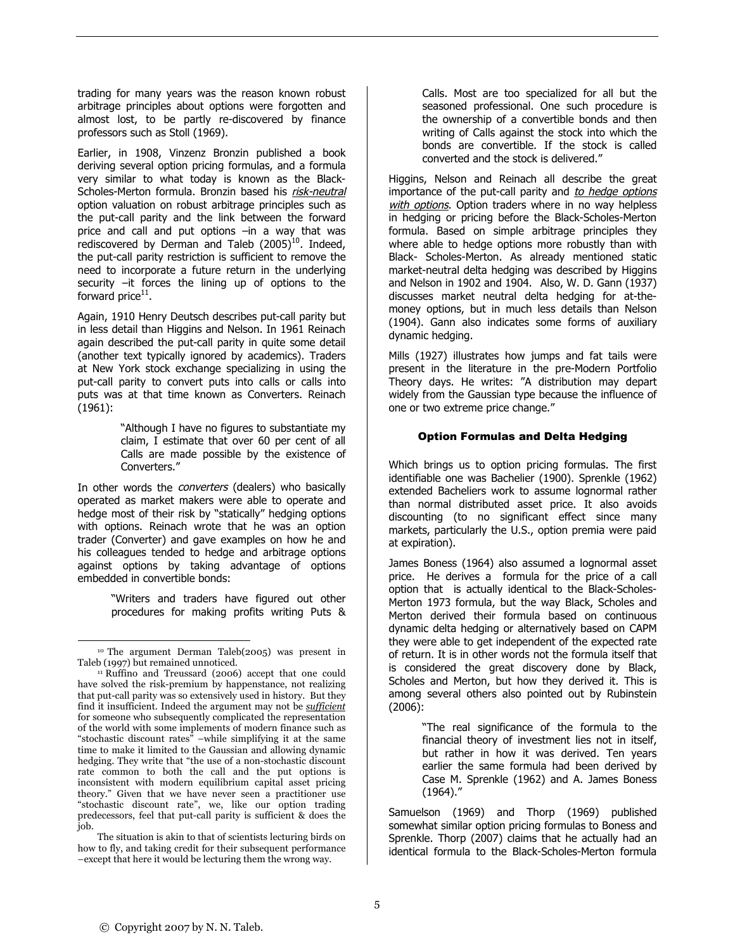trading for many years was the reason known robust arbitrage principles about options were forgotten and almost lost, to be partly re-discovered by finance professors such as Stoll (1969).

Earlier, in 1908, Vinzenz Bronzin published a book deriving several option pricing formulas, and a formula very similar to what today is known as the Black-Scholes-Merton formula. Bronzin based his risk-neutral option valuation on robust arbitrage principles such as the put-call parity and the link between the forward price and call and put options –in a way that was rediscovered by Derman and Taleb  $(2005)^{10}$ . Indeed, the put-call parity restriction is sufficient to remove the need to incorporate a future return in the underlying security –it forces the lining up of options to the forward price $^{11}$ .

Again, 1910 Henry Deutsch describes put-call parity but in less detail than Higgins and Nelson. In 1961 Reinach again described the put-call parity in quite some detail (another text typically ignored by academics). Traders at New York stock exchange specializing in using the put-call parity to convert puts into calls or calls into puts was at that time known as Converters. Reinach (1961):

> "Although I have no figures to substantiate my claim, I estimate that over 60 per cent of all Calls are made possible by the existence of Converters."

In other words the *converters* (dealers) who basically operated as market makers were able to operate and hedge most of their risk by "statically" hedging options with options. Reinach wrote that he was an option trader (Converter) and gave examples on how he and his colleagues tended to hedge and arbitrage options against options by taking advantage of options embedded in convertible bonds:

> "Writers and traders have figured out other procedures for making profits writing Puts &

ł

Calls. Most are too specialized for all but the seasoned professional. One such procedure is the ownership of a convertible bonds and then writing of Calls against the stock into which the bonds are convertible. If the stock is called converted and the stock is delivered."

Higgins, Nelson and Reinach all describe the great importance of the put-call parity and to hedge options with options. Option traders where in no way helpless in hedging or pricing before the Black-Scholes-Merton formula. Based on simple arbitrage principles they where able to hedge options more robustly than with Black- Scholes-Merton. As already mentioned static market-neutral delta hedging was described by Higgins and Nelson in 1902 and 1904. Also, W. D. Gann (1937) discusses market neutral delta hedging for at-themoney options, but in much less details than Nelson (1904). Gann also indicates some forms of auxiliary dynamic hedging.

Mills (1927) illustrates how jumps and fat tails were present in the literature in the pre-Modern Portfolio Theory days. He writes: "A distribution may depart widely from the Gaussian type because the influence of one or two extreme price change."

# Option Formulas and Delta Hedging

Which brings us to option pricing formulas. The first identifiable one was Bachelier (1900). Sprenkle (1962) extended Bacheliers work to assume lognormal rather than normal distributed asset price. It also avoids discounting (to no significant effect since many markets, particularly the U.S., option premia were paid at expiration).

James Boness (1964) also assumed a lognormal asset price. He derives a formula for the price of a call option that is actually identical to the Black-Scholes-Merton 1973 formula, but the way Black, Scholes and Merton derived their formula based on continuous dynamic delta hedging or alternatively based on CAPM they were able to get independent of the expected rate of return. It is in other words not the formula itself that is considered the great discovery done by Black, Scholes and Merton, but how they derived it. This is among several others also pointed out by Rubinstein (2006):

> "The real significance of the formula to the financial theory of investment lies not in itself, but rather in how it was derived. Ten years earlier the same formula had been derived by Case M. Sprenkle (1962) and A. James Boness (1964)."

Samuelson (1969) and Thorp (1969) published somewhat similar option pricing formulas to Boness and Sprenkle. Thorp (2007) claims that he actually had an identical formula to the Black-Scholes-Merton formula

<sup>10</sup> The argument Derman Taleb(2005) was present in Taleb (1997) but remained unnoticed.

<sup>11</sup> Ruffino and Treussard (2006) accept that one could have solved the risk-premium by happenstance, not realizing that put-call parity was so extensively used in history. But they find it insufficient. Indeed the argument may not be *sufficient* for someone who subsequently complicated the representation of the world with some implements of modern finance such as "stochastic discount rates" –while simplifying it at the same time to make it limited to the Gaussian and allowing dynamic hedging. They write that "the use of a non-stochastic discount rate common to both the call and the put options is inconsistent with modern equilibrium capital asset pricing theory." Given that we have never seen a practitioner use "stochastic discount rate", we, like our option trading predecessors, feel that put-call parity is sufficient & does the job.

The situation is akin to that of scientists lecturing birds on how to fly, and taking credit for their subsequent performance –except that here it would be lecturing them the wrong way.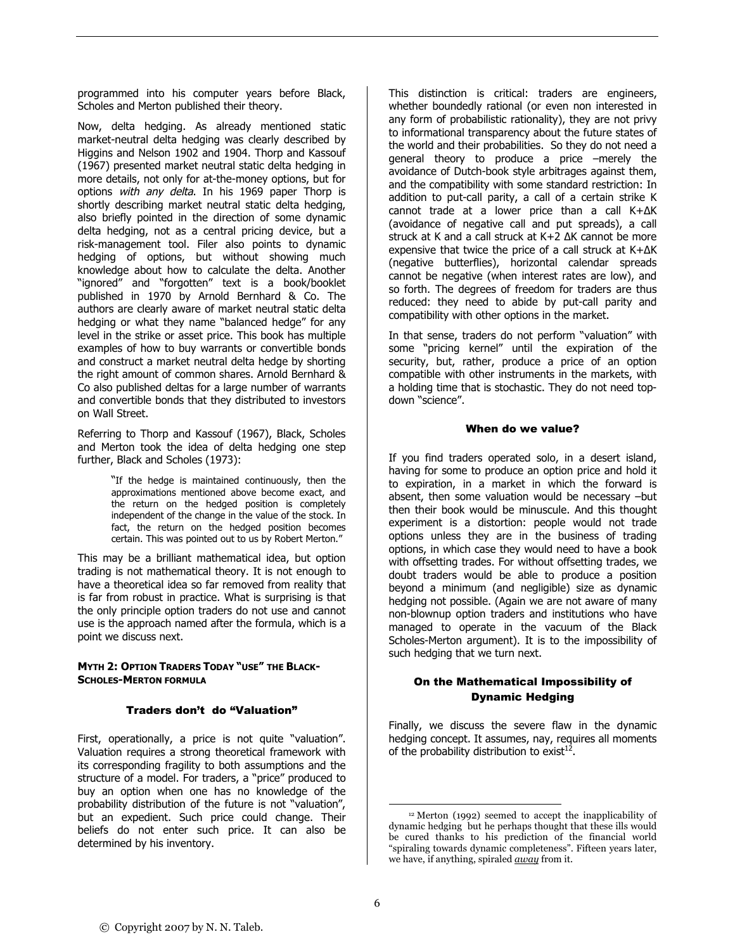programmed into his computer years before Black, Scholes and Merton published their theory.

Now, delta hedging. As already mentioned static market-neutral delta hedging was clearly described by Higgins and Nelson 1902 and 1904. Thorp and Kassouf (1967) presented market neutral static delta hedging in more details, not only for at-the-money options, but for options with any delta. In his 1969 paper Thorp is shortly describing market neutral static delta hedging, also briefly pointed in the direction of some dynamic delta hedging, not as a central pricing device, but a risk-management tool. Filer also points to dynamic hedging of options, but without showing much knowledge about how to calculate the delta. Another "ignored" and "forgotten" text is a book/booklet published in 1970 by Arnold Bernhard & Co. The authors are clearly aware of market neutral static delta hedging or what they name "balanced hedge" for any level in the strike or asset price. This book has multiple examples of how to buy warrants or convertible bonds and construct a market neutral delta hedge by shorting the right amount of common shares. Arnold Bernhard & Co also published deltas for a large number of warrants and convertible bonds that they distributed to investors on Wall Street.

Referring to Thorp and Kassouf (1967), Black, Scholes and Merton took the idea of delta hedging one step further, Black and Scholes (1973):

> "If the hedge is maintained continuously, then the approximations mentioned above become exact, and the return on the hedged position is completely independent of the change in the value of the stock. In fact, the return on the hedged position becomes certain. This was pointed out to us by Robert Merton."

This may be a brilliant mathematical idea, but option trading is not mathematical theory. It is not enough to have a theoretical idea so far removed from reality that is far from robust in practice. What is surprising is that the only principle option traders do not use and cannot use is the approach named after the formula, which is a point we discuss next.

## **MYTH 2: OPTION TRADERS TODAY "USE" THE BLACK-SCHOLES-MERTON FORMULA**

### Traders don't do "Valuation"

First, operationally, a price is not quite "valuation". Valuation requires a strong theoretical framework with its corresponding fragility to both assumptions and the structure of a model. For traders, a "price" produced to buy an option when one has no knowledge of the probability distribution of the future is not "valuation", but an expedient. Such price could change. Their beliefs do not enter such price. It can also be determined by his inventory.

This distinction is critical: traders are engineers, whether boundedly rational (or even non interested in any form of probabilistic rationality), they are not privy to informational transparency about the future states of the world and their probabilities. So they do not need a general theory to produce a price –merely the avoidance of Dutch-book style arbitrages against them, and the compatibility with some standard restriction: In addition to put-call parity, a call of a certain strike K cannot trade at a lower price than a call K+∆K (avoidance of negative call and put spreads), a call struck at K and a call struck at K+2 ∆K cannot be more expensive that twice the price of a call struck at K+∆K (negative butterflies), horizontal calendar spreads cannot be negative (when interest rates are low), and so forth. The degrees of freedom for traders are thus reduced: they need to abide by put-call parity and compatibility with other options in the market.

In that sense, traders do not perform "valuation" with some "pricing kernel" until the expiration of the security, but, rather, produce a price of an option compatible with other instruments in the markets, with a holding time that is stochastic. They do not need topdown "science".

### When do we value?

If you find traders operated solo, in a desert island, having for some to produce an option price and hold it to expiration, in a market in which the forward is absent, then some valuation would be necessary –but then their book would be minuscule. And this thought experiment is a distortion: people would not trade options unless they are in the business of trading options, in which case they would need to have a book with offsetting trades. For without offsetting trades, we doubt traders would be able to produce a position beyond a minimum (and negligible) size as dynamic hedging not possible. (Again we are not aware of many non-blownup option traders and institutions who have managed to operate in the vacuum of the Black Scholes-Merton argument). It is to the impossibility of such hedging that we turn next.

# On the Mathematical Impossibility of Dynamic Hedging

Finally, we discuss the severe flaw in the dynamic hedging concept. It assumes, nay, requires all moments of the probability distribution to exist $^{12}$ .

<sup>-</sup><sup>12</sup> Merton (1992) seemed to accept the inapplicability of dynamic hedging but he perhaps thought that these ills would be cured thanks to his prediction of the financial world "spiraling towards dynamic completeness". Fifteen years later, we have, if anything, spiraled *away* from it.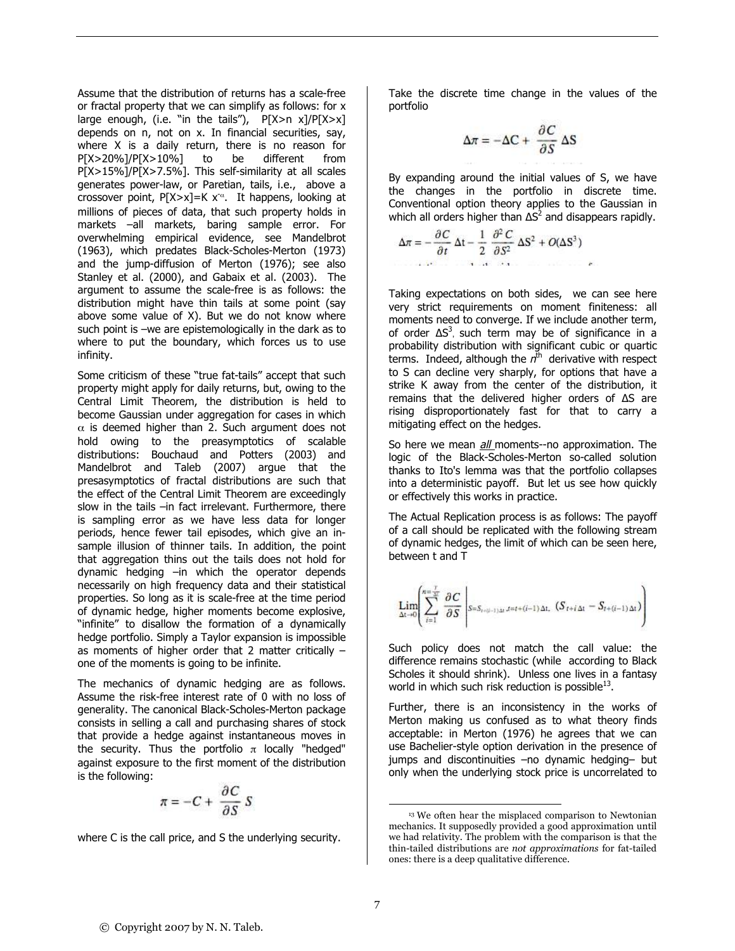Assume that the distribution of returns has a scale-free or fractal property that we can simplify as follows: for x large enough, (i.e. "in the tails"),  $P[X>n x]/P[X>x]$ depends on n, not on x. In financial securities, say, where X is a daily return, there is no reason for P[X>20%]/P[X>10%] to be different from P[X>15%]/P[X>7.5%]. This self-similarity at all scales generates power-law, or Paretian, tails, i.e., above a crossover point,  $P[X > x] = K x^{\alpha}$ . It happens, looking at millions of pieces of data, that such property holds in markets –all markets, baring sample error. For overwhelming empirical evidence, see Mandelbrot (1963), which predates Black-Scholes-Merton (1973) and the jump-diffusion of Merton (1976); see also Stanley et al. (2000), and Gabaix et al. (2003). The argument to assume the scale-free is as follows: the distribution might have thin tails at some point (say above some value of X). But we do not know where such point is –we are epistemologically in the dark as to where to put the boundary, which forces us to use infinity.

Some criticism of these "true fat-tails" accept that such property might apply for daily returns, but, owing to the Central Limit Theorem, the distribution is held to become Gaussian under aggregation for cases in which  $\alpha$  is deemed higher than 2. Such argument does not hold owing to the preasymptotics of scalable distributions: Bouchaud and Potters (2003) and Mandelbrot and Taleb (2007) argue that the presasymptotics of fractal distributions are such that the effect of the Central Limit Theorem are exceedingly slow in the tails –in fact irrelevant. Furthermore, there is sampling error as we have less data for longer periods, hence fewer tail episodes, which give an insample illusion of thinner tails. In addition, the point that aggregation thins out the tails does not hold for dynamic hedging –in which the operator depends necessarily on high frequency data and their statistical properties. So long as it is scale-free at the time period of dynamic hedge, higher moments become explosive, "infinite" to disallow the formation of a dynamically hedge portfolio. Simply a Taylor expansion is impossible as moments of higher order that 2 matter critically – one of the moments is going to be infinite.

The mechanics of dynamic hedging are as follows. Assume the risk-free interest rate of 0 with no loss of generality. The canonical Black-Scholes-Merton package consists in selling a call and purchasing shares of stock that provide a hedge against instantaneous moves in the security. Thus the portfolio  $\pi$  locally "hedged" against exposure to the first moment of the distribution is the following:

$$
\pi = -C + \frac{\partial C}{\partial S} S
$$

where C is the call price, and S the underlying security.

Take the discrete time change in the values of the portfolio

$$
\Delta \pi = -\Delta C + \frac{\partial C}{\partial S} \Delta S
$$

By expanding around the initial values of S, we have the changes in the portfolio in discrete time. Conventional option theory applies to the Gaussian in which all orders higher than  $\Delta S^2$  and disappears rapidly.

$$
\Delta \pi = -\frac{\partial C}{\partial t} \Delta t - \frac{1}{2} \frac{\partial^2 C}{\partial S^2} \Delta S^2 + O(\Delta S^3)
$$

Taking expectations on both sides, we can see here very strict requirements on moment finiteness: all moments need to converge. If we include another term, of order  $\Delta S^3$ , such term may be of significance in a probability distribution with significant cubic or quartic terms. Indeed, although the  $n^{\text{th}}$  derivative with respect to S can decline very sharply, for options that have a strike K away from the center of the distribution, it remains that the delivered higher orders of ∆S are rising disproportionately fast for that to carry a mitigating effect on the hedges.

So here we mean all moments--no approximation. The logic of the Black-Scholes-Merton so-called solution thanks to Ito's lemma was that the portfolio collapses into a deterministic payoff. But let us see how quickly or effectively this works in practice.

The Actual Replication process is as follows: The payoff of a call should be replicated with the following stream of dynamic hedges, the limit of which can be seen here, between t and T

$$
\lim_{\Delta t \to 0} \left( \sum_{i=1}^{n=\frac{T}{\Delta t}} \left. \frac{\partial C}{\partial S} \right|_{S=S_{t+i(i-1)\Delta t}, t=t+(i-1)\Delta t}, (S_{t+i\Delta t}-S_{t+(i-1)\Delta t}) \right)
$$

Such policy does not match the call value: the difference remains stochastic (while according to Black Scholes it should shrink). Unless one lives in a fantasy world in which such risk reduction is possible $^{13}$ .

Further, there is an inconsistency in the works of Merton making us confused as to what theory finds acceptable: in Merton (1976) he agrees that we can use Bachelier-style option derivation in the presence of jumps and discontinuities –no dynamic hedging– but only when the underlying stock price is uncorrelated to

j <sup>13</sup> We often hear the misplaced comparison to Newtonian mechanics. It supposedly provided a good approximation until we had relativity. The problem with the comparison is that the thin-tailed distributions are *not approximations* for fat-tailed ones: there is a deep qualitative difference.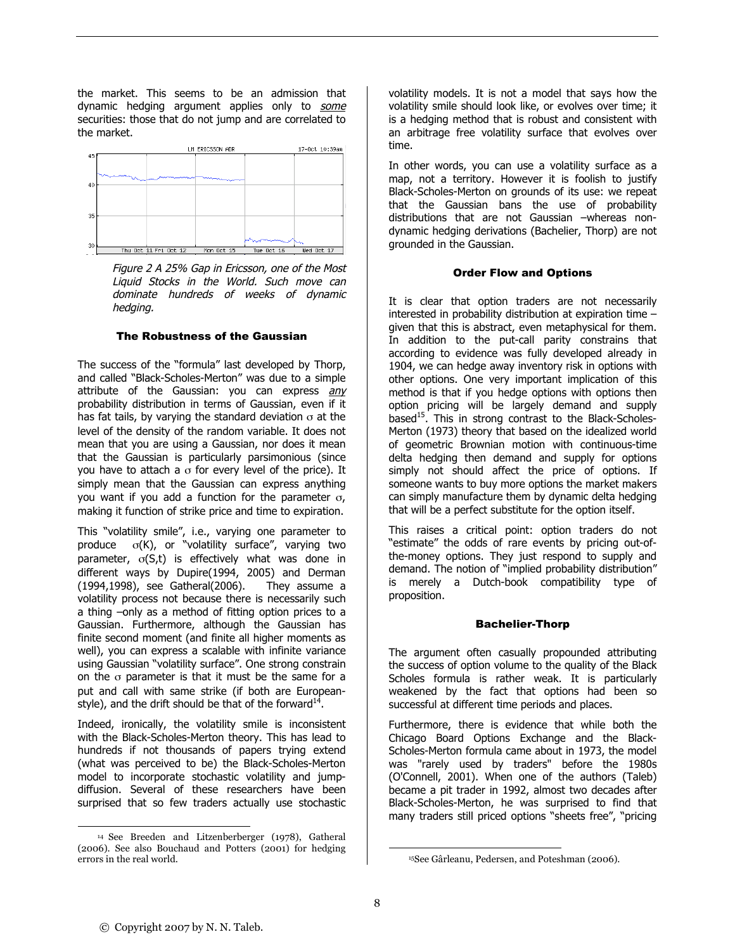the market. This seems to be an admission that dynamic hedging argument applies only to some securities: those that do not jump and are correlated to the market.



Figure 2 A 25% Gap in Ericsson, one of the Most Liquid Stocks in the World. Such move can dominate hundreds of weeks of dynamic hedging.

## The Robustness of the Gaussian

The success of the "formula" last developed by Thorp, and called "Black-Scholes-Merton" was due to a simple attribute of the Gaussian: you can express any probability distribution in terms of Gaussian, even if it has fat tails, by varying the standard deviation  $\sigma$  at the level of the density of the random variable. It does not mean that you are using a Gaussian, nor does it mean that the Gaussian is particularly parsimonious (since you have to attach a  $\sigma$  for every level of the price). It simply mean that the Gaussian can express anything you want if you add a function for the parameter  $\sigma$ , making it function of strike price and time to expiration.

This "volatility smile", i.e., varying one parameter to produce  $\sigma(K)$ , or "volatility surface", varying two parameter,  $\sigma(S,t)$  is effectively what was done in different ways by Dupire(1994, 2005) and Derman (1994,1998), see Gatheral(2006). They assume a volatility process not because there is necessarily such a thing –only as a method of fitting option prices to a Gaussian. Furthermore, although the Gaussian has finite second moment (and finite all higher moments as well), you can express a scalable with infinite variance using Gaussian "volatility surface". One strong constrain on the  $\sigma$  parameter is that it must be the same for a put and call with same strike (if both are Europeanstyle), and the drift should be that of the forward $^{14}$ .

Indeed, ironically, the volatility smile is inconsistent with the Black-Scholes-Merton theory. This has lead to hundreds if not thousands of papers trying extend (what was perceived to be) the Black-Scholes-Merton model to incorporate stochastic volatility and jumpdiffusion. Several of these researchers have been surprised that so few traders actually use stochastic

volatility models. It is not a model that says how the volatility smile should look like, or evolves over time; it is a hedging method that is robust and consistent with an arbitrage free volatility surface that evolves over time.

In other words, you can use a volatility surface as a map, not a territory. However it is foolish to justify Black-Scholes-Merton on grounds of its use: we repeat that the Gaussian bans the use of probability distributions that are not Gaussian –whereas nondynamic hedging derivations (Bachelier, Thorp) are not grounded in the Gaussian.

## Order Flow and Options

It is clear that option traders are not necessarily interested in probability distribution at expiration time – given that this is abstract, even metaphysical for them. In addition to the put-call parity constrains that according to evidence was fully developed already in 1904, we can hedge away inventory risk in options with other options. One very important implication of this method is that if you hedge options with options then option pricing will be largely demand and supply based<sup>15</sup>. This in strong contrast to the Black-Scholes-Merton (1973) theory that based on the idealized world of geometric Brownian motion with continuous-time delta hedging then demand and supply for options simply not should affect the price of options. If someone wants to buy more options the market makers can simply manufacture them by dynamic delta hedging that will be a perfect substitute for the option itself.

This raises a critical point: option traders do not "estimate" the odds of rare events by pricing out-ofthe-money options. They just respond to supply and demand. The notion of "implied probability distribution" is merely a Dutch-book compatibility type of proposition.

### Bachelier-Thorp

The argument often casually propounded attributing the success of option volume to the quality of the Black Scholes formula is rather weak. It is particularly weakened by the fact that options had been so successful at different time periods and places.

Furthermore, there is evidence that while both the Chicago Board Options Exchange and the Black-Scholes-Merton formula came about in 1973, the model was "rarely used by traders" before the 1980s (O'Connell, 2001). When one of the authors (Taleb) became a pit trader in 1992, almost two decades after Black-Scholes-Merton, he was surprised to find that many traders still priced options "sheets free", "pricing

j

ł <sup>14</sup> See Breeden and Litzenberberger (1978), Gatheral (2006). See also Bouchaud and Potters (2001) for hedging errors in the real world.

<sup>15</sup>See Gârleanu, Pedersen, and Poteshman (2006).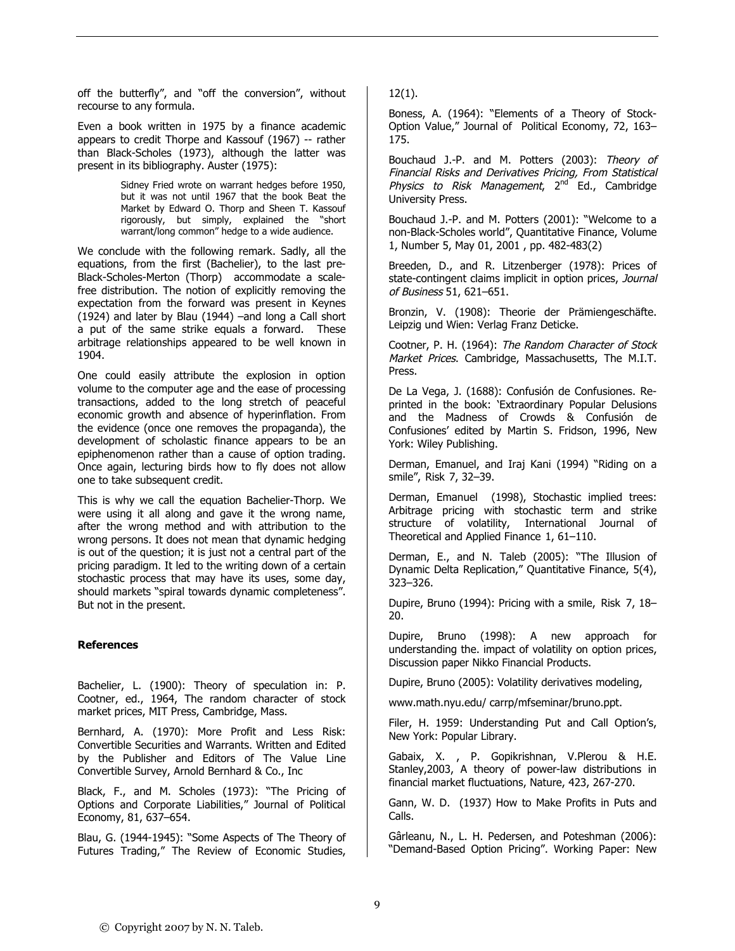off the butterfly", and "off the conversion", without recourse to any formula.

Even a book written in 1975 by a finance academic appears to credit Thorpe and Kassouf (1967) -- rather than Black-Scholes (1973), although the latter was present in its bibliography. Auster (1975):

> Sidney Fried wrote on warrant hedges before 1950, but it was not until 1967 that the book Beat the Market by Edward O. Thorp and Sheen T. Kassouf rigorously, but simply, explained the "short warrant/long common" hedge to a wide audience.

We conclude with the following remark. Sadly, all the equations, from the first (Bachelier), to the last pre-Black-Scholes-Merton (Thorp) accommodate a scalefree distribution. The notion of explicitly removing the expectation from the forward was present in Keynes (1924) and later by Blau (1944) –and long a Call short a put of the same strike equals a forward. These arbitrage relationships appeared to be well known in 1904.

One could easily attribute the explosion in option volume to the computer age and the ease of processing transactions, added to the long stretch of peaceful economic growth and absence of hyperinflation. From the evidence (once one removes the propaganda), the development of scholastic finance appears to be an epiphenomenon rather than a cause of option trading. Once again, lecturing birds how to fly does not allow one to take subsequent credit.

This is why we call the equation Bachelier-Thorp. We were using it all along and gave it the wrong name, after the wrong method and with attribution to the wrong persons. It does not mean that dynamic hedging is out of the question; it is just not a central part of the pricing paradigm. It led to the writing down of a certain stochastic process that may have its uses, some day, should markets "spiral towards dynamic completeness". But not in the present.

### **References**

Bachelier, L. (1900): Theory of speculation in: P. Cootner, ed., 1964, The random character of stock market prices, MIT Press, Cambridge, Mass.

Bernhard, A. (1970): More Profit and Less Risk: Convertible Securities and Warrants. Written and Edited by the Publisher and Editors of The Value Line Convertible Survey, Arnold Bernhard & Co., Inc

Black, F., and M. Scholes (1973): "The Pricing of Options and Corporate Liabilities," Journal of Political Economy, 81, 637–654.

Blau, G. (1944-1945): "Some Aspects of The Theory of Futures Trading," The Review of Economic Studies,

12(1).

Boness, A. (1964): "Elements of a Theory of Stock-Option Value," Journal of Political Economy, 72, 163– 175.

Bouchaud J.-P. and M. Potters (2003): Theory of Financial Risks and Derivatives Pricing, From Statistical Physics to Risk Management,  $2<sup>nd</sup>$  Ed., Cambridge University Press.

Bouchaud J.-P. and M. Potters (2001): "Welcome to a non-Black-Scholes world", Quantitative Finance, Volume 1, Number 5, May 01, 2001 , pp. 482-483(2)

Breeden, D., and R. Litzenberger (1978): Prices of state-contingent claims implicit in option prices, Journal of Business 51, 621–651.

Bronzin, V. (1908): Theorie der Prämiengeschäfte. Leipzig und Wien: Verlag Franz Deticke.

Cootner, P. H. (1964): The Random Character of Stock Market Prices. Cambridge, Massachusetts, The M.I.T. Press.

De La Vega, J. (1688): Confusión de Confusiones. Reprinted in the book: 'Extraordinary Popular Delusions and the Madness of Crowds & Confusión de Confusiones' edited by Martin S. Fridson, 1996, New York: Wiley Publishing.

Derman, Emanuel, and Iraj Kani (1994) "Riding on a smile", Risk 7, 32–39.

Derman, Emanuel (1998), Stochastic implied trees: Arbitrage pricing with stochastic term and strike structure of volatility, International Journal of Theoretical and Applied Finance 1, 61–110.

Derman, E., and N. Taleb (2005): "The Illusion of Dynamic Delta Replication," Quantitative Finance, 5(4), 323–326.

Dupire, Bruno (1994): Pricing with a smile, Risk 7, 18– 20.

Dupire, Bruno (1998): A new approach for understanding the. impact of volatility on option prices, Discussion paper Nikko Financial Products.

Dupire, Bruno (2005): Volatility derivatives modeling,

www.math.nyu.edu/ carrp/mfseminar/bruno.ppt.

Filer, H. 1959: Understanding Put and Call Option's, New York: Popular Library.

Gabaix, X. , P. Gopikrishnan, V.Plerou & H.E. Stanley,2003, A theory of power-law distributions in financial market fluctuations, Nature, 423, 267-270.

Gann, W. D. (1937) How to Make Profits in Puts and Calls.

Gârleanu, N., L. H. Pedersen, and Poteshman (2006): "Demand-Based Option Pricing". Working Paper: New